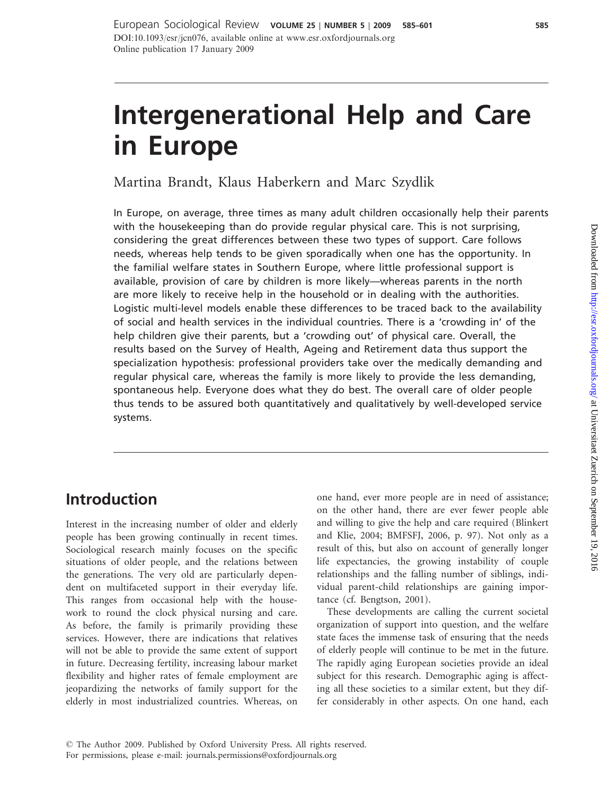# Intergenerational Help and Care in Europe

Martina Brandt, Klaus Haberkern and Marc Szydlik

In Europe, on average, three times as many adult children occasionally help their parents with the housekeeping than do provide regular physical care. This is not surprising, considering the great differences between these two types of support. Care follows needs, whereas help tends to be given sporadically when one has the opportunity. In the familial welfare states in Southern Europe, where little professional support is available, provision of care by children is more likely—whereas parents in the north are more likely to receive help in the household or in dealing with the authorities. Logistic multi-level models enable these differences to be traced back to the availability of social and health services in the individual countries. There is a 'crowding in' of the help children give their parents, but a 'crowding out' of physical care. Overall, the results based on the Survey of Health, Ageing and Retirement data thus support the specialization hypothesis: professional providers take over the medically demanding and regular physical care, whereas the family is more likely to provide the less demanding, spontaneous help. Everyone does what they do best. The overall care of older people thus tends to be assured both quantitatively and qualitatively by well-developed service systems.

## Introduction

Interest in the increasing number of older and elderly people has been growing continually in recent times. Sociological research mainly focuses on the specific situations of older people, and the relations between the generations. The very old are particularly dependent on multifaceted support in their everyday life. This ranges from occasional help with the housework to round the clock physical nursing and care. As before, the family is primarily providing these services. However, there are indications that relatives will not be able to provide the same extent of support in future. Decreasing fertility, increasing labour market flexibility and higher rates of female employment are jeopardizing the networks of family support for the elderly in most industrialized countries. Whereas, on

one hand, ever more people are in need of assistance; on the other hand, there are ever fewer people able and willing to give the help and care required (Blinkert and Klie, 2004; BMFSFJ, 2006, p. 97). Not only as a result of this, but also on account of generally longer life expectancies, the growing instability of couple relationships and the falling number of siblings, individual parent-child relationships are gaining importance (cf. Bengtson, 2001).

These developments are calling the current societal organization of support into question, and the welfare state faces the immense task of ensuring that the needs of elderly people will continue to be met in the future. The rapidly aging European societies provide an ideal subject for this research. Demographic aging is affecting all these societies to a similar extent, but they differ considerably in other aspects. On one hand, each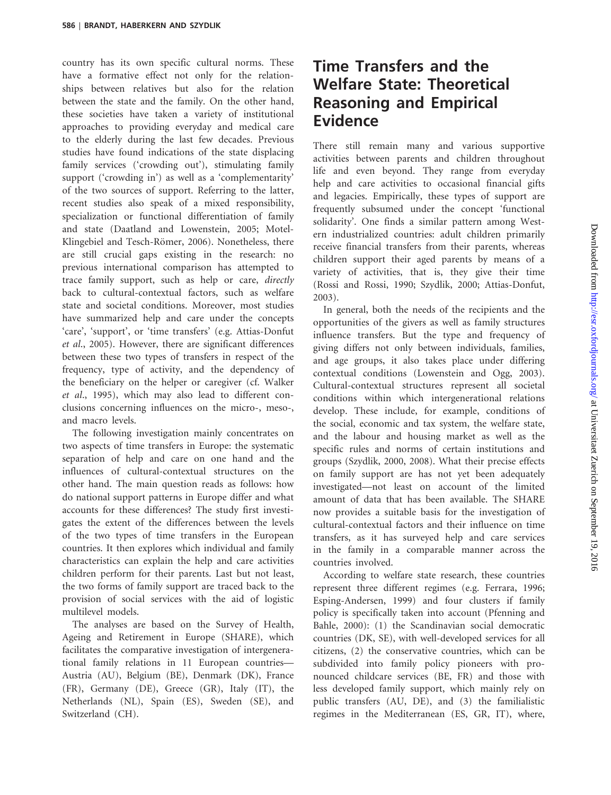country has its own specific cultural norms. These have a formative effect not only for the relationships between relatives but also for the relation between the state and the family. On the other hand, these societies have taken a variety of institutional approaches to providing everyday and medical care to the elderly during the last few decades. Previous studies have found indications of the state displacing family services ('crowding out'), stimulating family support ('crowding in') as well as a 'complementarity' of the two sources of support. Referring to the latter, recent studies also speak of a mixed responsibility, specialization or functional differentiation of family and state (Daatland and Lowenstein, 2005; Motel-Klingebiel and Tesch-Römer, 2006). Nonetheless, there are still crucial gaps existing in the research: no previous international comparison has attempted to trace family support, such as help or care, directly back to cultural-contextual factors, such as welfare state and societal conditions. Moreover, most studies have summarized help and care under the concepts 'care', 'support', or 'time transfers' (e.g. Attias-Donfut et al., 2005). However, there are significant differences between these two types of transfers in respect of the frequency, type of activity, and the dependency of the beneficiary on the helper or caregiver (cf. Walker et al., 1995), which may also lead to different conclusions concerning influences on the micro-, meso-, and macro levels.

The following investigation mainly concentrates on two aspects of time transfers in Europe: the systematic separation of help and care on one hand and the influences of cultural-contextual structures on the other hand. The main question reads as follows: how do national support patterns in Europe differ and what accounts for these differences? The study first investigates the extent of the differences between the levels of the two types of time transfers in the European countries. It then explores which individual and family characteristics can explain the help and care activities children perform for their parents. Last but not least, the two forms of family support are traced back to the provision of social services with the aid of logistic multilevel models.

The analyses are based on the Survey of Health, Ageing and Retirement in Europe (SHARE), which facilitates the comparative investigation of intergenerational family relations in 11 European countries— Austria (AU), Belgium (BE), Denmark (DK), France (FR), Germany (DE), Greece (GR), Italy (IT), the Netherlands (NL), Spain (ES), Sweden (SE), and Switzerland (CH).

#### Time Transfers and the Welfare State: Theoretical Reasoning and Empirical Evidence

There still remain many and various supportive activities between parents and children throughout life and even beyond. They range from everyday help and care activities to occasional financial gifts and legacies. Empirically, these types of support are frequently subsumed under the concept 'functional solidarity'. One finds a similar pattern among Western industrialized countries: adult children primarily receive financial transfers from their parents, whereas children support their aged parents by means of a variety of activities, that is, they give their time (Rossi and Rossi, 1990; Szydlik, 2000; Attias-Donfut, 2003).

In general, both the needs of the recipients and the opportunities of the givers as well as family structures influence transfers. But the type and frequency of giving differs not only between individuals, families, and age groups, it also takes place under differing contextual conditions (Lowenstein and Ogg, 2003). Cultural-contextual structures represent all societal conditions within which intergenerational relations develop. These include, for example, conditions of the social, economic and tax system, the welfare state, and the labour and housing market as well as the specific rules and norms of certain institutions and groups (Szydlik, 2000, 2008). What their precise effects on family support are has not yet been adequately investigated—not least on account of the limited amount of data that has been available. The SHARE now provides a suitable basis for the investigation of cultural-contextual factors and their influence on time transfers, as it has surveyed help and care services in the family in a comparable manner across the countries involved.

According to welfare state research, these countries represent three different regimes (e.g. Ferrara, 1996; Esping-Andersen, 1999) and four clusters if family policy is specifically taken into account (Pfenning and Bahle, 2000): (1) the Scandinavian social democratic countries (DK, SE), with well-developed services for all citizens, (2) the conservative countries, which can be subdivided into family policy pioneers with pronounced childcare services (BE, FR) and those with less developed family support, which mainly rely on public transfers (AU, DE), and (3) the familialistic regimes in the Mediterranean (ES, GR, IT), where,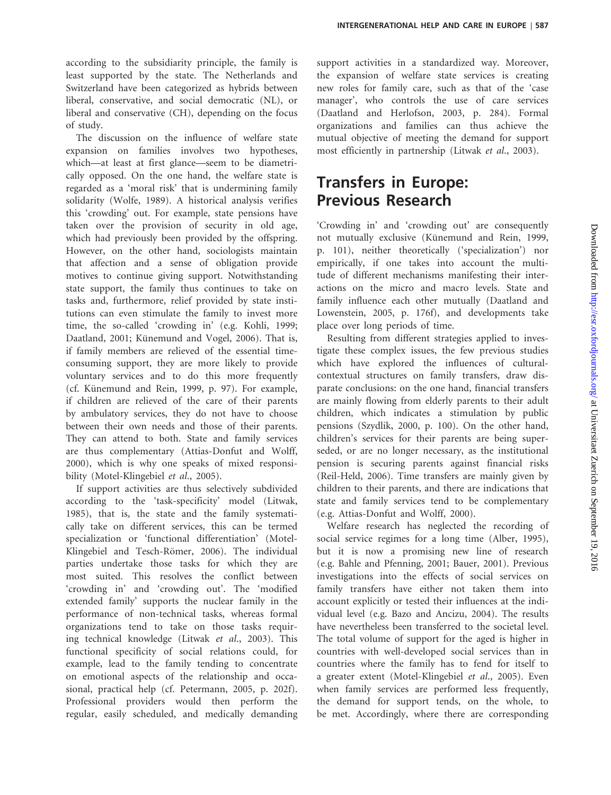according to the subsidiarity principle, the family is least supported by the state. The Netherlands and Switzerland have been categorized as hybrids between liberal, conservative, and social democratic (NL), or liberal and conservative (CH), depending on the focus of study.

The discussion on the influence of welfare state expansion on families involves two hypotheses, which—at least at first glance—seem to be diametrically opposed. On the one hand, the welfare state is regarded as a 'moral risk' that is undermining family solidarity (Wolfe, 1989). A historical analysis verifies this 'crowding' out. For example, state pensions have taken over the provision of security in old age, which had previously been provided by the offspring. However, on the other hand, sociologists maintain that affection and a sense of obligation provide motives to continue giving support. Notwithstanding state support, the family thus continues to take on tasks and, furthermore, relief provided by state institutions can even stimulate the family to invest more time, the so-called 'crowding in' (e.g. Kohli, 1999; Daatland, 2001; Künemund and Vogel, 2006). That is, if family members are relieved of the essential timeconsuming support, they are more likely to provide voluntary services and to do this more frequently (cf. Künemund and Rein, 1999, p. 97). For example, if children are relieved of the care of their parents by ambulatory services, they do not have to choose between their own needs and those of their parents. They can attend to both. State and family services are thus complementary (Attias-Donfut and Wolff, 2000), which is why one speaks of mixed responsibility (Motel-Klingebiel et al., 2005).

If support activities are thus selectively subdivided according to the 'task-specificity' model (Litwak, 1985), that is, the state and the family systematically take on different services, this can be termed specialization or 'functional differentiation' (Motel-Klingebiel and Tesch-Römer, 2006). The individual parties undertake those tasks for which they are most suited. This resolves the conflict between 'crowding in' and 'crowding out'. The 'modified extended family' supports the nuclear family in the performance of non-technical tasks, whereas formal organizations tend to take on those tasks requiring technical knowledge (Litwak et al., 2003). This functional specificity of social relations could, for example, lead to the family tending to concentrate on emotional aspects of the relationship and occasional, practical help (cf. Petermann, 2005, p. 202f). Professional providers would then perform the regular, easily scheduled, and medically demanding

support activities in a standardized way. Moreover, the expansion of welfare state services is creating new roles for family care, such as that of the 'case manager', who controls the use of care services (Daatland and Herlofson, 2003, p. 284). Formal organizations and families can thus achieve the mutual objective of meeting the demand for support most efficiently in partnership (Litwak et al., 2003).

#### Transfers in Europe: Previous Research

'Crowding in' and 'crowding out' are consequently not mutually exclusive (Künemund and Rein, 1999, p. 101), neither theoretically ('specialization') nor empirically, if one takes into account the multitude of different mechanisms manifesting their interactions on the micro and macro levels. State and family influence each other mutually (Daatland and Lowenstein, 2005, p. 176f), and developments take place over long periods of time.

Resulting from different strategies applied to investigate these complex issues, the few previous studies which have explored the influences of culturalcontextual structures on family transfers, draw disparate conclusions: on the one hand, financial transfers are mainly flowing from elderly parents to their adult children, which indicates a stimulation by public pensions (Szydlik, 2000, p. 100). On the other hand, children's services for their parents are being superseded, or are no longer necessary, as the institutional pension is securing parents against financial risks (Reil-Held, 2006). Time transfers are mainly given by children to their parents, and there are indications that state and family services tend to be complementary (e.g. Attias-Donfut and Wolff, 2000).

Welfare research has neglected the recording of social service regimes for a long time (Alber, 1995), but it is now a promising new line of research (e.g. Bahle and Pfenning, 2001; Bauer, 2001). Previous investigations into the effects of social services on family transfers have either not taken them into account explicitly or tested their influences at the individual level (e.g. Bazo and Ancizu, 2004). The results have nevertheless been transferred to the societal level. The total volume of support for the aged is higher in countries with well-developed social services than in countries where the family has to fend for itself to a greater extent (Motel-Klingebiel et al., 2005). Even when family services are performed less frequently, the demand for support tends, on the whole, to be met. Accordingly, where there are corresponding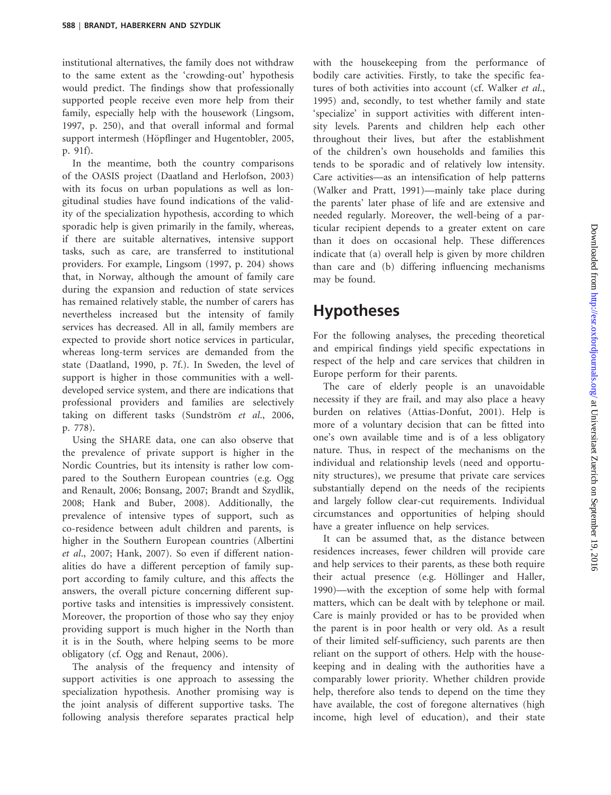institutional alternatives, the family does not withdraw to the same extent as the 'crowding-out' hypothesis would predict. The findings show that professionally supported people receive even more help from their family, especially help with the housework (Lingsom, 1997, p. 250), and that overall informal and formal support intermesh (Höpflinger and Hugentobler, 2005, p. 91f).

In the meantime, both the country comparisons of the OASIS project (Daatland and Herlofson, 2003) with its focus on urban populations as well as longitudinal studies have found indications of the validity of the specialization hypothesis, according to which sporadic help is given primarily in the family, whereas, if there are suitable alternatives, intensive support tasks, such as care, are transferred to institutional providers. For example, Lingsom (1997, p. 204) shows that, in Norway, although the amount of family care during the expansion and reduction of state services has remained relatively stable, the number of carers has nevertheless increased but the intensity of family services has decreased. All in all, family members are expected to provide short notice services in particular, whereas long-term services are demanded from the state (Daatland, 1990, p. 7f.). In Sweden, the level of support is higher in those communities with a welldeveloped service system, and there are indications that professional providers and families are selectively taking on different tasks (Sundström et al., 2006, p. 778).

Using the SHARE data, one can also observe that the prevalence of private support is higher in the Nordic Countries, but its intensity is rather low compared to the Southern European countries (e.g. Ogg and Renault, 2006; Bonsang, 2007; Brandt and Szydlik, 2008; Hank and Buber, 2008). Additionally, the prevalence of intensive types of support, such as co-residence between adult children and parents, is higher in the Southern European countries (Albertini et al., 2007; Hank, 2007). So even if different nationalities do have a different perception of family support according to family culture, and this affects the answers, the overall picture concerning different supportive tasks and intensities is impressively consistent. Moreover, the proportion of those who say they enjoy providing support is much higher in the North than it is in the South, where helping seems to be more obligatory (cf. Ogg and Renaut, 2006).

The analysis of the frequency and intensity of support activities is one approach to assessing the specialization hypothesis. Another promising way is the joint analysis of different supportive tasks. The following analysis therefore separates practical help

with the housekeeping from the performance of bodily care activities. Firstly, to take the specific features of both activities into account (cf. Walker et al., 1995) and, secondly, to test whether family and state 'specialize' in support activities with different intensity levels. Parents and children help each other throughout their lives, but after the establishment of the children's own households and families this tends to be sporadic and of relatively low intensity. Care activities—as an intensification of help patterns (Walker and Pratt, 1991)—mainly take place during the parents' later phase of life and are extensive and needed regularly. Moreover, the well-being of a particular recipient depends to a greater extent on care than it does on occasional help. These differences indicate that (a) overall help is given by more children than care and (b) differing influencing mechanisms may be found.

### Hypotheses

For the following analyses, the preceding theoretical and empirical findings yield specific expectations in respect of the help and care services that children in Europe perform for their parents.

The care of elderly people is an unavoidable necessity if they are frail, and may also place a heavy burden on relatives (Attias-Donfut, 2001). Help is more of a voluntary decision that can be fitted into one's own available time and is of a less obligatory nature. Thus, in respect of the mechanisms on the individual and relationship levels (need and opportunity structures), we presume that private care services substantially depend on the needs of the recipients and largely follow clear-cut requirements. Individual circumstances and opportunities of helping should have a greater influence on help services.

It can be assumed that, as the distance between residences increases, fewer children will provide care and help services to their parents, as these both require their actual presence (e.g. Höllinger and Haller, 1990)—with the exception of some help with formal matters, which can be dealt with by telephone or mail. Care is mainly provided or has to be provided when the parent is in poor health or very old. As a result of their limited self-sufficiency, such parents are then reliant on the support of others. Help with the housekeeping and in dealing with the authorities have a comparably lower priority. Whether children provide help, therefore also tends to depend on the time they have available, the cost of foregone alternatives (high income, high level of education), and their state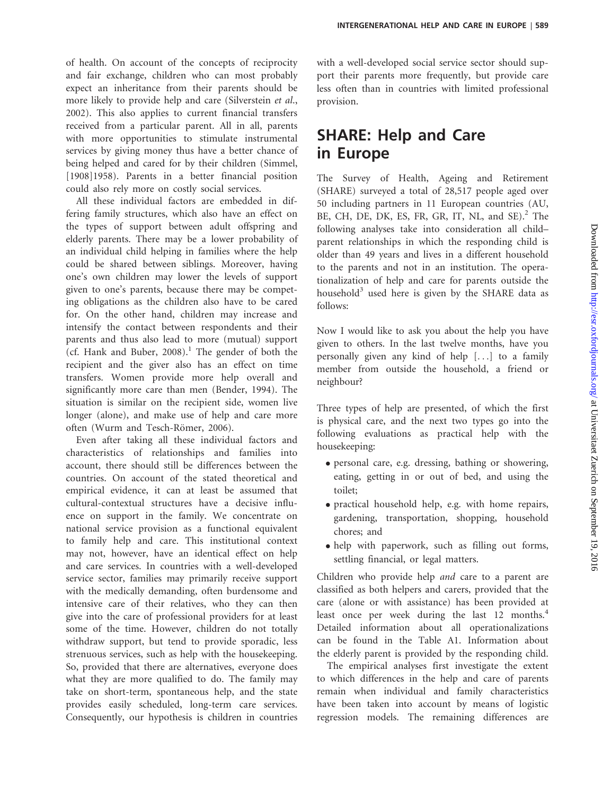of health. On account of the concepts of reciprocity and fair exchange, children who can most probably expect an inheritance from their parents should be more likely to provide help and care (Silverstein et al., 2002). This also applies to current financial transfers received from a particular parent. All in all, parents with more opportunities to stimulate instrumental services by giving money thus have a better chance of being helped and cared for by their children (Simmel, [1908]1958). Parents in a better financial position could also rely more on costly social services.

All these individual factors are embedded in differing family structures, which also have an effect on the types of support between adult offspring and elderly parents. There may be a lower probability of an individual child helping in families where the help could be shared between siblings. Moreover, having one's own children may lower the levels of support given to one's parents, because there may be competing obligations as the children also have to be cared for. On the other hand, children may increase and intensify the contact between respondents and their parents and thus also lead to more (mutual) support (cf. Hank and Buber,  $2008$ ).<sup>1</sup> The gender of both the recipient and the giver also has an effect on time transfers. Women provide more help overall and significantly more care than men (Bender, 1994). The situation is similar on the recipient side, women live longer (alone), and make use of help and care more often (Wurm and Tesch-Römer, 2006).

Even after taking all these individual factors and characteristics of relationships and families into account, there should still be differences between the countries. On account of the stated theoretical and empirical evidence, it can at least be assumed that cultural-contextual structures have a decisive influence on support in the family. We concentrate on national service provision as a functional equivalent to family help and care. This institutional context may not, however, have an identical effect on help and care services. In countries with a well-developed service sector, families may primarily receive support with the medically demanding, often burdensome and intensive care of their relatives, who they can then give into the care of professional providers for at least some of the time. However, children do not totally withdraw support, but tend to provide sporadic, less strenuous services, such as help with the housekeeping. So, provided that there are alternatives, everyone does what they are more qualified to do. The family may take on short-term, spontaneous help, and the state provides easily scheduled, long-term care services. Consequently, our hypothesis is children in countries with a well-developed social service sector should support their parents more frequently, but provide care less often than in countries with limited professional provision.

#### SHARE: Help and Care in Europe

The Survey of Health, Ageing and Retirement (SHARE) surveyed a total of 28,517 people aged over 50 including partners in 11 European countries (AU, BE, CH, DE, DK, ES, FR, GR, IT, NL, and  $SE$ ).<sup>2</sup> The following analyses take into consideration all child– parent relationships in which the responding child is older than 49 years and lives in a different household to the parents and not in an institution. The operationalization of help and care for parents outside the household<sup>3</sup> used here is given by the SHARE data as follows:

Now I would like to ask you about the help you have given to others. In the last twelve months, have you personally given any kind of help [...] to a family member from outside the household, a friend or neighbour?

Three types of help are presented, of which the first is physical care, and the next two types go into the following evaluations as practical help with the housekeeping:

- personal care, e.g. dressing, bathing or showering, eating, getting in or out of bed, and using the toilet;
- practical household help, e.g. with home repairs, gardening, transportation, shopping, household chores; and
- help with paperwork, such as filling out forms, settling financial, or legal matters.

Children who provide help and care to a parent are classified as both helpers and carers, provided that the care (alone or with assistance) has been provided at least once per week during the last 12 months.<sup>4</sup> Detailed information about all operationalizations can be found in the Table A1. Information about the elderly parent is provided by the responding child.

The empirical analyses first investigate the extent to which differences in the help and care of parents remain when individual and family characteristics have been taken into account by means of logistic regression models. The remaining differences are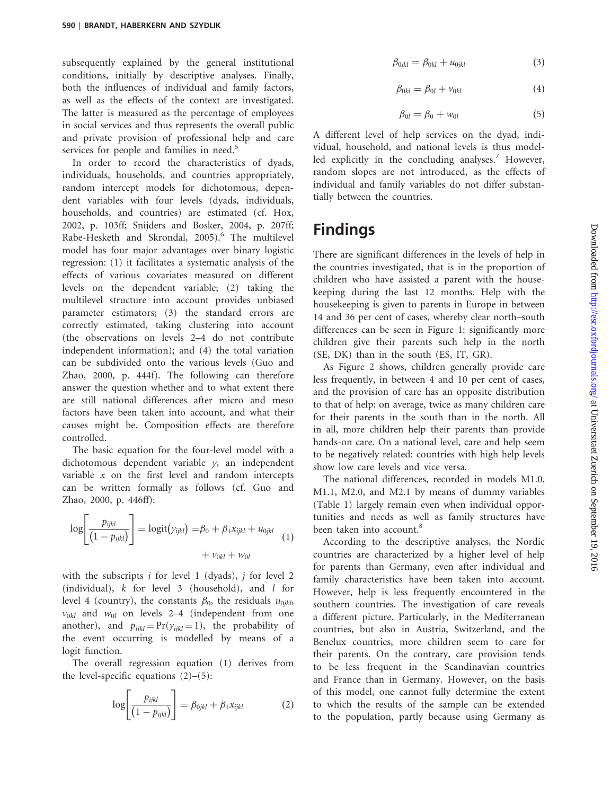subsequently explained by the general institutional conditions, initially by descriptive analyses. Finally, both the influences of individual and family factors, as well as the effects of the context are investigated. The latter is measured as the percentage of employees in social services and thus represents the overall public and private provision of professional help and care services for people and families in need.<sup>5</sup>

In order to record the characteristics of dyads, individuals, households, and countries appropriately, random intercept models for dichotomous, dependent variables with four levels (dyads, individuals, households, and countries) are estimated (cf. Hox, 2002, p. 103ff; Snijders and Bosker, 2004, p. 207ff; Rabe-Hesketh and Skrondal, 2005).<sup>6</sup> The multilevel model has four major advantages over binary logistic regression: (1) it facilitates a systematic analysis of the effects of various covariates measured on different levels on the dependent variable; (2) taking the multilevel structure into account provides unbiased parameter estimators; (3) the standard errors are correctly estimated, taking clustering into account (the observations on levels 2–4 do not contribute independent information); and (4) the total variation can be subdivided onto the various levels (Guo and Zhao, 2000, p. 444f). The following can therefore answer the question whether and to what extent there are still national differences after micro and meso factors have been taken into account, and what their causes might be. Composition effects are therefore controlled.

The basic equation for the four-level model with a dichotomous dependent variable y, an independent variable  $x$  on the first level and random intercepts can be written formally as follows (cf. Guo and Zhao, 2000, p. 446ff):

$$
\log\left[\frac{p_{ijkl}}{(1-p_{ijkl})}\right] = \logit(y_{ijkl}) = \beta_0 + \beta_1 x_{ijkl} + u_{0jkl}
$$
  
+  $v_{0kl} + w_{0l}$  (1)

with the subscripts  $i$  for level 1 (dyads),  $j$  for level 2 (individual),  $k$  for level 3 (household), and  $l$  for level 4 (country), the constants  $\beta_0$ , the residuals  $u_{0jkb}$  $v_{0kl}$  and  $w_{0l}$  on levels 2–4 (independent from one another), and  $p_{iikl} = Pr(y_{iikl} = 1)$ , the probability of the event occurring is modelled by means of a logit function.

The overall regression equation (1) derives from the level-specific equations  $(2)$ – $(5)$ :

$$
\log\left[\frac{p_{ijkl}}{(1-p_{ijkl})}\right] = \beta_{0jkl} + \beta_1 x_{ijkl} \tag{2}
$$

$$
\beta_{0jkl} = \beta_{0kl} + u_{0jkl} \tag{3}
$$

$$
\beta_{0kl} = \beta_{0l} + \nu_{0kl} \tag{4}
$$

$$
\beta_{0l} = \beta_0 + w_{0l} \tag{5}
$$

A different level of help services on the dyad, individual, household, and national levels is thus modelled explicitly in the concluding analyses.<sup>7</sup> However, random slopes are not introduced, as the effects of individual and family variables do not differ substantially between the countries.

#### Findings

There are significant differences in the levels of help in the countries investigated, that is in the proportion of children who have assisted a parent with the housekeeping during the last 12 months. Help with the housekeeping is given to parents in Europe in between 14 and 36 per cent of cases, whereby clear north–south differences can be seen in Figure 1: significantly more children give their parents such help in the north (SE, DK) than in the south (ES, IT, GR).

As Figure 2 shows, children generally provide care less frequently, in between 4 and 10 per cent of cases, and the provision of care has an opposite distribution to that of help: on average, twice as many children care for their parents in the south than in the north. All in all, more children help their parents than provide hands-on care. On a national level, care and help seem to be negatively related: countries with high help levels show low care levels and vice versa.

The national differences, recorded in models M1.0, M1.1, M2.0, and M2.1 by means of dummy variables (Table 1) largely remain even when individual opportunities and needs as well as family structures have been taken into account.<sup>8</sup>

According to the descriptive analyses, the Nordic countries are characterized by a higher level of help for parents than Germany, even after individual and family characteristics have been taken into account. However, help is less frequently encountered in the southern countries. The investigation of care reveals a different picture. Particularly, in the Mediterranean countries, but also in Austria, Switzerland, and the Benelux countries, more children seem to care for their parents. On the contrary, care provision tends to be less frequent in the Scandinavian countries and France than in Germany. However, on the basis of this model, one cannot fully determine the extent to which the results of the sample can be extended to the population, partly because using Germany as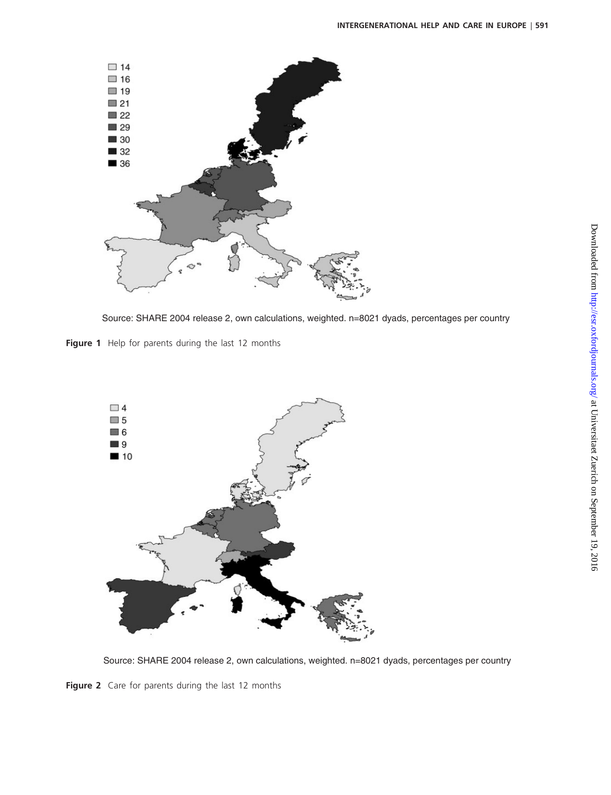

Source: SHARE 2004 release 2, own calculations, weighted. n=8021 dyads, percentages per country

Figure 1 Help for parents during the last 12 months



Source: SHARE 2004 release 2, own calculations, weighted. n=8021 dyads, percentages per country

Figure 2 Care for parents during the last 12 months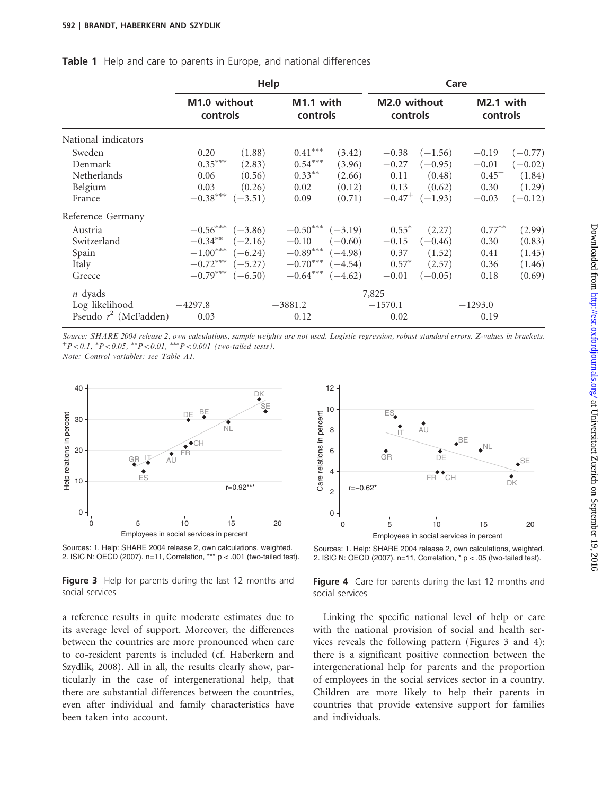|                         | Help                                 |                                   |                          | Care                  |  |  |
|-------------------------|--------------------------------------|-----------------------------------|--------------------------|-----------------------|--|--|
|                         | M <sub>1.0</sub> without<br>controls | M <sub>1.1</sub> with<br>controls | M2.0 without<br>controls | M2.1 with<br>controls |  |  |
| National indicators     |                                      |                                   |                          |                       |  |  |
| Sweden                  | (1.88)<br>0.20                       | $0.41^{\ast\ast\ast}$<br>(3.42)   | $-0.38$<br>$(-1.56)$     | $-0.19$<br>$(-0.77)$  |  |  |
| Denmark                 | $0.35***$<br>(2.83)                  | $0.54***$<br>(3.96)               | $-0.27$<br>$(-0.95)$     | $-0.01$<br>$(-0.02)$  |  |  |
| Netherlands             | 0.06<br>(0.56)                       | $0.33***$<br>(2.66)               | (0.48)<br>0.11           | $0.45^{+}$<br>(1.84)  |  |  |
| Belgium                 | 0.03<br>(0.26)                       | 0.02<br>(0.12)                    | 0.13<br>(0.62)           | 0.30<br>(1.29)        |  |  |
| France                  | $-0.38***$<br>$(-3.51)$              | (0.71)<br>0.09                    | $-0.47^+$ (-1.93)        | $-0.03$<br>$(-0.12)$  |  |  |
| Reference Germany       |                                      |                                   |                          |                       |  |  |
| Austria                 | $-0.56***$ $(-3.86)$                 | $-0.50***$ $(-3.19)$              | $0.55*$<br>(2.27)        | $0.77***$<br>(2.99)   |  |  |
| Switzerland             | $-0.34***$ $(-2.16)$                 | $-0.10$<br>$(-0.60)$              | $-0.15$<br>$(-0.46)$     | 0.30<br>(0.83)        |  |  |
| Spain                   | $-1.00***$ (-6.24)                   | $-0.89***$ $(-4.98)$              | 0.37<br>(1.52)           | (1.45)<br>0.41        |  |  |
| Italy                   | $-0.72***$ $(-5.27)$                 | $-0.70***$ $(-4.54)$              | $0.57^*$<br>(2.57)       | 0.36<br>(1.46)        |  |  |
| Greece                  | $-0.79***$ $(-6.50)$                 | $-0.64***$ $(-4.62)$              | $-0.01$<br>$(-0.05)$     | (0.69)<br>0.18        |  |  |
| <i>n</i> dyads          |                                      |                                   | 7,825                    |                       |  |  |
| Log likelihood          | $-4297.8$                            | $-3881.2$                         | $-1570.1$                | $-1293.0$             |  |  |
| Pseudo $r^2$ (McFadden) | 0.03                                 | 0.12                              | 0.02                     | 0.19                  |  |  |

Table 1 Help and care to parents in Europe, and national differences

Source: SHARE 2004 release 2, own calculations, sample weights are not used. Logistic regression, robust standard errors. Z-values in brackets.  $p+P<0.1$ ,  ${}^*P<0.05$ ,  ${}^{**}P<0.01$ ,  ${}^{***}P<0.001$  (two-tailed tests).

Note: Control variables: see Table A1.





Figure 3 Help for parents during the last 12 months and social services

a reference results in quite moderate estimates due to its average level of support. Moreover, the differences between the countries are more pronounced when care to co-resident parents is included (cf. Haberkern and Szydlik, 2008). All in all, the results clearly show, particularly in the case of intergenerational help, that there are substantial differences between the countries, even after individual and family characteristics have been taken into account.



Sources: 1. Help: SHARE 2004 release 2, own calculations, weighted. 2. ISIC N: OECD (2007). n=11, Correlation, \* p < .05 (two-tailed test).

Figure 4 Care for parents during the last 12 months and social services

Linking the specific national level of help or care with the national provision of social and health services reveals the following pattern (Figures 3 and 4): there is a significant positive connection between the intergenerational help for parents and the proportion of employees in the social services sector in a country. Children are more likely to help their parents in countries that provide extensive support for families and individuals.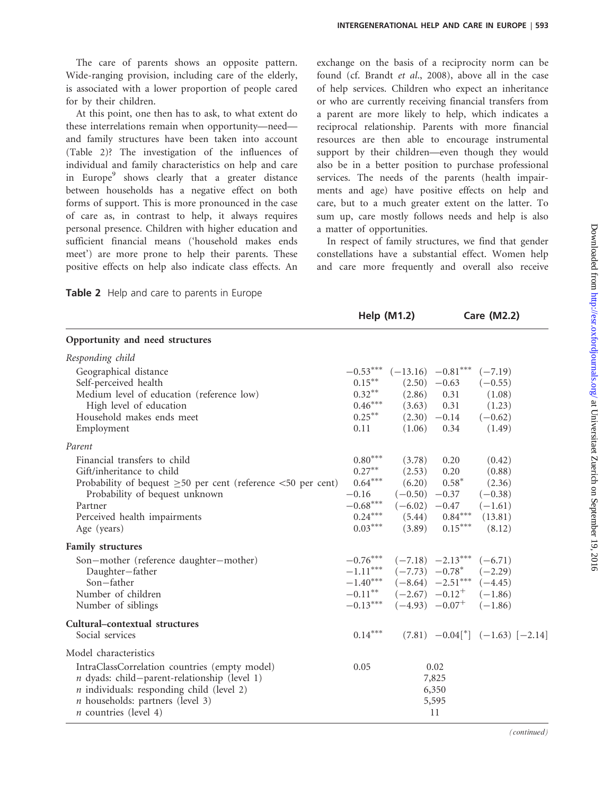The care of parents shows an opposite pattern. Wide-ranging provision, including care of the elderly, is associated with a lower proportion of people cared for by their children.

At this point, one then has to ask, to what extent do these interrelations remain when opportunity—need and family structures have been taken into account (Table 2)? The investigation of the influences of individual and family characteristics on help and care in Europe<sup>9</sup> shows clearly that a greater distance between households has a negative effect on both forms of support. This is more pronounced in the case of care as, in contrast to help, it always requires personal presence. Children with higher education and sufficient financial means ('household makes ends meet') are more prone to help their parents. These positive effects on help also indicate class effects. An exchange on the basis of a reciprocity norm can be found (cf. Brandt et al., 2008), above all in the case of help services. Children who expect an inheritance or who are currently receiving financial transfers from a parent are more likely to help, which indicates a reciprocal relationship. Parents with more financial resources are then able to encourage instrumental support by their children—even though they would also be in a better position to purchase professional services. The needs of the parents (health impairments and age) have positive effects on help and care, but to a much greater extent on the latter. To sum up, care mostly follows needs and help is also a matter of opportunities.

In respect of family structures, we find that gender constellations have a substantial effect. Women help and care more frequently and overall also receive

Table 2 Help and care to parents in Europe

|                                                                                                                                                                                                                                   |                                             | Help $(M1.2)$                                                                                                                                                                                                                                                                 |                                                                                                              | <b>Care (M2.2)</b>                                  |
|-----------------------------------------------------------------------------------------------------------------------------------------------------------------------------------------------------------------------------------|---------------------------------------------|-------------------------------------------------------------------------------------------------------------------------------------------------------------------------------------------------------------------------------------------------------------------------------|--------------------------------------------------------------------------------------------------------------|-----------------------------------------------------|
| Opportunity and need structures                                                                                                                                                                                                   |                                             |                                                                                                                                                                                                                                                                               |                                                                                                              |                                                     |
| Responding child                                                                                                                                                                                                                  |                                             |                                                                                                                                                                                                                                                                               |                                                                                                              |                                                     |
| Geographical distance<br>Self-perceived health<br>Medium level of education (reference low)<br>High level of education<br>Household makes ends meet<br>Employment                                                                 | $0.15***$<br>$0.32***$<br>$0.25***$<br>0.11 | $-0.53***$ $(-13.16)$ $-0.81***$ $(-7.19)$<br>$0.46***$ $(3.63)$ $0.31$ $(1.23)$                                                                                                                                                                                              | $(2.50)$ $-0.63$ $(-0.55)$<br>$(2.86)$ 0.31 $(1.08)$<br>$(2.30)$ $-0.14$ $(-0.62)$<br>$(1.06)$ 0.34 $(1.49)$ |                                                     |
| Parent                                                                                                                                                                                                                            |                                             |                                                                                                                                                                                                                                                                               |                                                                                                              |                                                     |
| Financial transfers to child<br>Gift/inheritance to child<br>Probability of bequest $\geq 50$ per cent (reference $\leq 50$ per cent)<br>Probability of bequest unknown<br>Partner<br>Perceived health impairments<br>Age (years) | $0.80^{***}$                                | $0.27***$ $(2.53)$ $0.20$ $(0.88)$<br>$0.64***$ $(6.20)$ $0.58*$ $(2.36)$<br>$-0.16$ $(-0.50)$ $-0.37$ $(-0.38)$<br>$-0.68***$ $(-6.02)$ $-0.47$ $(-1.61)$<br>$0.24***$ $(5.44)$ $0.84***$ $(13.81)$<br>$0.03***$ $(3.89)$ $0.15***$ $(8.12)$                                 | $(3.78)$ 0.20                                                                                                | (0.42)                                              |
| <b>Family structures</b>                                                                                                                                                                                                          |                                             |                                                                                                                                                                                                                                                                               |                                                                                                              |                                                     |
| Son-mother (reference daughter-mother)<br>Daughter-father<br>Son-father<br>Number of children<br>Number of siblings                                                                                                               |                                             | $-0.76***$ $(-7.18)$ $-2.13***$ $(-6.71)$<br>$-0.70$ $(-7.10)$ $-2.15$ $(-0.71)$<br>$-1.11^{***}$ $(-7.73)$ $-0.78$ $(-2.29)$<br>$-1.40^{***}$ $(-8.64)$ $-2.51^{***}$ $(-4.45)$<br>$-0.11^{**}$ $(-2.67)$ $-0.12^+$ $(-1.86)$<br>$-0.13^{***}$ $(-4.93)$ $-0.07^+$ $(-1.86)$ |                                                                                                              |                                                     |
| Cultural-contextual structures<br>Social services                                                                                                                                                                                 | $0.14***$                                   |                                                                                                                                                                                                                                                                               |                                                                                                              | $(7.81)$ $-0.04$ <sup>*</sup> ] $(-1.63)$ $[-2.14]$ |
| Model characteristics                                                                                                                                                                                                             |                                             |                                                                                                                                                                                                                                                                               |                                                                                                              |                                                     |
| IntraClassCorrelation countries (empty model)<br>$n$ dyads: child-parent-relationship (level 1)<br>$n$ individuals: responding child (level 2)<br>$n$ households: partners (level 3)<br>$n$ countries (level 4)                   | 0.05                                        |                                                                                                                                                                                                                                                                               | 0.02<br>7,825<br>6,350<br>5,595<br>11                                                                        |                                                     |

(continued)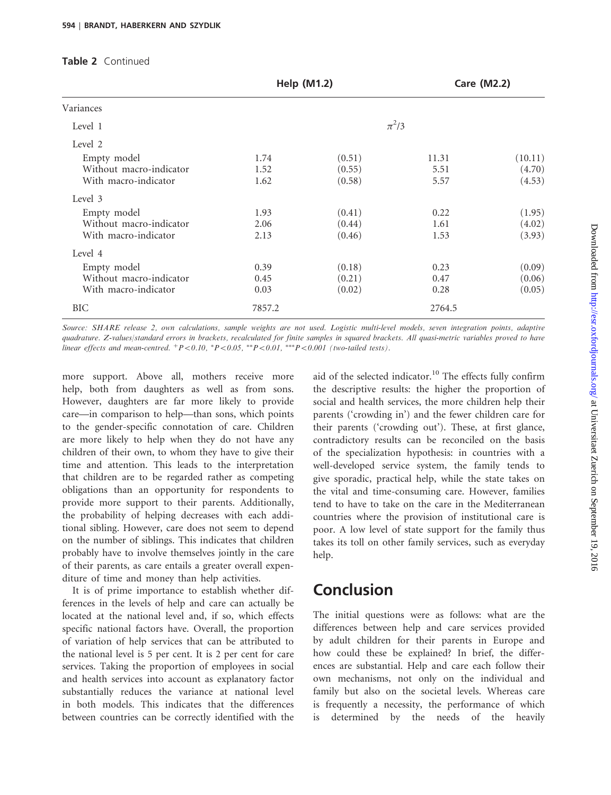#### Table 2 Continued

|                         | Help (M1.2) |        |           | <b>Care (M2.2)</b> |  |
|-------------------------|-------------|--------|-----------|--------------------|--|
| Variances               |             |        |           |                    |  |
| Level 1                 |             |        | $\pi^2/3$ |                    |  |
| Level 2                 |             |        |           |                    |  |
| Empty model             | 1.74        | (0.51) | 11.31     | (10.11)            |  |
| Without macro-indicator | 1.52        | (0.55) | 5.51      | (4.70)             |  |
| With macro-indicator    | 1.62        | (0.58) | 5.57      | (4.53)             |  |
| Level 3                 |             |        |           |                    |  |
| Empty model             | 1.93        | (0.41) | 0.22      | (1.95)             |  |
| Without macro-indicator | 2.06        | (0.44) | 1.61      | (4.02)             |  |
| With macro-indicator    | 2.13        | (0.46) | 1.53      | (3.93)             |  |
| Level 4                 |             |        |           |                    |  |
| Empty model             | 0.39        | (0.18) | 0.23      | (0.09)             |  |
| Without macro-indicator | 0.45        | (0.21) | 0.47      | (0.06)             |  |
| With macro-indicator    | 0.03        | (0.02) | 0.28      | (0.05)             |  |
| BIC                     | 7857.2      |        | 2764.5    |                    |  |

Source: SHARE release 2, own calculations, sample weights are not used. Logistic multi-level models, seven integration points, adaptive quadrature. Z-values/standard errors in brackets, recalculated for finite samples in squared brackets. All quasi-metric variables proved to have linear effects and mean-centred.  ${}^{+}P<0.10$ ,  ${}^{*}P<0.05$ ,  ${}^{**}P<0.01$ ,  ${}^{***}P<0.001$  (two-tailed tests).

more support. Above all, mothers receive more help, both from daughters as well as from sons. However, daughters are far more likely to provide care—in comparison to help—than sons, which points to the gender-specific connotation of care. Children are more likely to help when they do not have any children of their own, to whom they have to give their time and attention. This leads to the interpretation that children are to be regarded rather as competing obligations than an opportunity for respondents to provide more support to their parents. Additionally, the probability of helping decreases with each additional sibling. However, care does not seem to depend on the number of siblings. This indicates that children probably have to involve themselves jointly in the care of their parents, as care entails a greater overall expenditure of time and money than help activities.

It is of prime importance to establish whether differences in the levels of help and care can actually be located at the national level and, if so, which effects specific national factors have. Overall, the proportion of variation of help services that can be attributed to the national level is 5 per cent. It is 2 per cent for care services. Taking the proportion of employees in social and health services into account as explanatory factor substantially reduces the variance at national level in both models. This indicates that the differences between countries can be correctly identified with the aid of the selected indicator.<sup>10</sup> The effects fully confirm the descriptive results: the higher the proportion of social and health services, the more children help their parents ('crowding in') and the fewer children care for their parents ('crowding out'). These, at first glance, contradictory results can be reconciled on the basis of the specialization hypothesis: in countries with a well-developed service system, the family tends to give sporadic, practical help, while the state takes on the vital and time-consuming care. However, families tend to have to take on the care in the Mediterranean countries where the provision of institutional care is poor. A low level of state support for the family thus takes its toll on other family services, such as everyday help.

#### Conclusion

The initial questions were as follows: what are the differences between help and care services provided by adult children for their parents in Europe and how could these be explained? In brief, the differences are substantial. Help and care each follow their own mechanisms, not only on the individual and family but also on the societal levels. Whereas care is frequently a necessity, the performance of which is determined by the needs of the heavily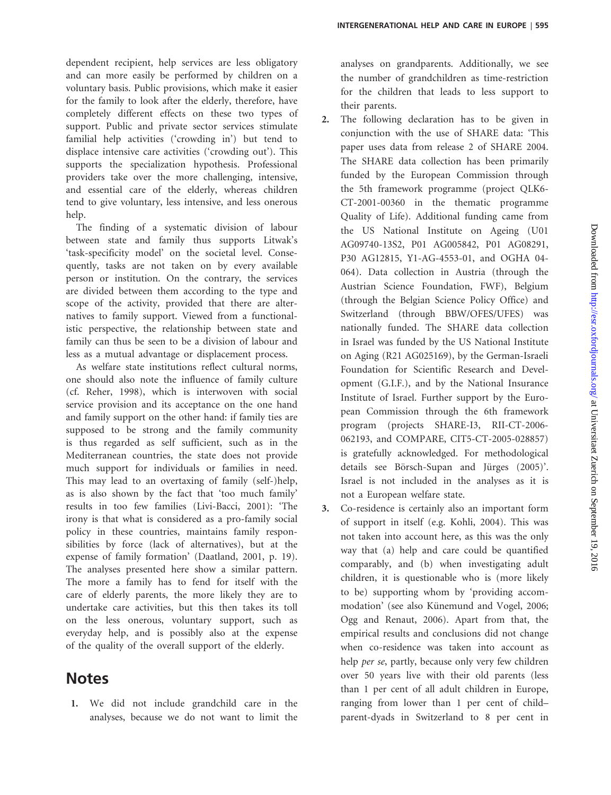dependent recipient, help services are less obligatory and can more easily be performed by children on a voluntary basis. Public provisions, which make it easier for the family to look after the elderly, therefore, have completely different effects on these two types of support. Public and private sector services stimulate familial help activities ('crowding in') but tend to displace intensive care activities ('crowding out'). This supports the specialization hypothesis. Professional providers take over the more challenging, intensive, and essential care of the elderly, whereas children tend to give voluntary, less intensive, and less onerous help.

The finding of a systematic division of labour between state and family thus supports Litwak's 'task-specificity model' on the societal level. Consequently, tasks are not taken on by every available person or institution. On the contrary, the services are divided between them according to the type and scope of the activity, provided that there are alternatives to family support. Viewed from a functionalistic perspective, the relationship between state and family can thus be seen to be a division of labour and less as a mutual advantage or displacement process.

As welfare state institutions reflect cultural norms, one should also note the influence of family culture (cf. Reher, 1998), which is interwoven with social service provision and its acceptance on the one hand and family support on the other hand: if family ties are supposed to be strong and the family community is thus regarded as self sufficient, such as in the Mediterranean countries, the state does not provide much support for individuals or families in need. This may lead to an overtaxing of family (self-)help, as is also shown by the fact that 'too much family' results in too few families (Livi-Bacci, 2001): 'The irony is that what is considered as a pro-family social policy in these countries, maintains family responsibilities by force (lack of alternatives), but at the expense of family formation' (Daatland, 2001, p. 19). The analyses presented here show a similar pattern. The more a family has to fend for itself with the care of elderly parents, the more likely they are to undertake care activities, but this then takes its toll on the less onerous, voluntary support, such as everyday help, and is possibly also at the expense of the quality of the overall support of the elderly.

#### Notes

1. We did not include grandchild care in the analyses, because we do not want to limit the analyses on grandparents. Additionally, we see the number of grandchildren as time-restriction for the children that leads to less support to their parents.

- 2. The following declaration has to be given in conjunction with the use of SHARE data: 'This paper uses data from release 2 of SHARE 2004. The SHARE data collection has been primarily funded by the European Commission through the 5th framework programme (project QLK6- CT-2001-00360 in the thematic programme Quality of Life). Additional funding came from the US National Institute on Ageing (U01 AG09740-13S2, P01 AG005842, P01 AG08291, P30 AG12815, Y1-AG-4553-01, and OGHA 04- 064). Data collection in Austria (through the Austrian Science Foundation, FWF), Belgium (through the Belgian Science Policy Office) and Switzerland (through BBW/OFES/UFES) was nationally funded. The SHARE data collection in Israel was funded by the US National Institute on Aging (R21 AG025169), by the German-Israeli Foundation for Scientific Research and Development (G.I.F.), and by the National Insurance Institute of Israel. Further support by the European Commission through the 6th framework program (projects SHARE-I3, RII-CT-2006- 062193, and COMPARE, CIT5-CT-2005-028857) is gratefully acknowledged. For methodological details see Börsch-Supan and Jürges (2005)'. Israel is not included in the analyses as it is not a European welfare state.
- 3. Co-residence is certainly also an important form of support in itself (e.g. Kohli, 2004). This was not taken into account here, as this was the only way that (a) help and care could be quantified comparably, and (b) when investigating adult children, it is questionable who is (more likely to be) supporting whom by 'providing accommodation' (see also Künemund and Vogel, 2006; Ogg and Renaut, 2006). Apart from that, the empirical results and conclusions did not change when co-residence was taken into account as help per se, partly, because only very few children over 50 years live with their old parents (less than 1 per cent of all adult children in Europe, ranging from lower than 1 per cent of child– parent-dyads in Switzerland to 8 per cent in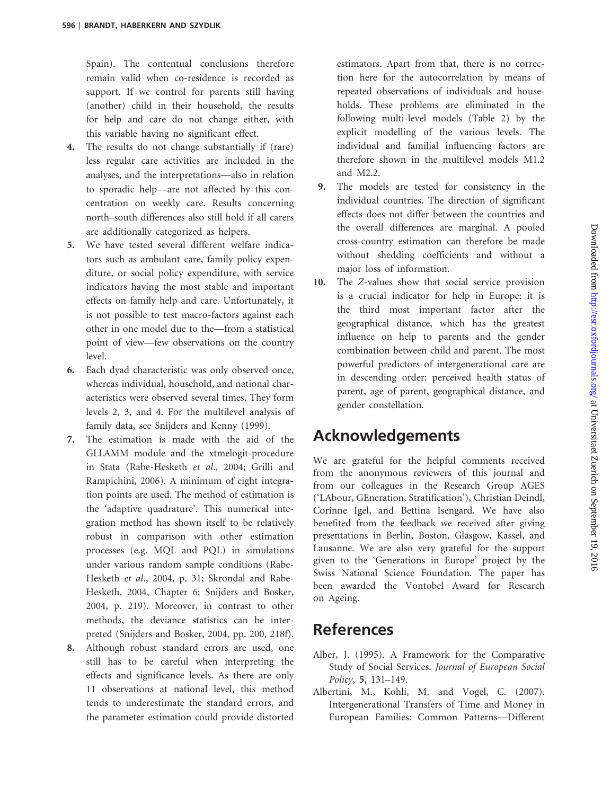Spain). The contentual conclusions therefore remain valid when co-residence is recorded as support. If we control for parents still having (another) child in their household, the results for help and care do not change either, with this variable having no significant effect.

- 4. The results do not change substantially if (rare) less regular care activities are included in the analyses, and the interpretations—also in relation to sporadic help—are not affected by this concentration on weekly care. Results concerning north–south differences also still hold if all carers are additionally categorized as helpers.
- 5. We have tested several different welfare indicators such as ambulant care, family policy expenditure, or social policy expenditure, with service indicators having the most stable and important effects on family help and care. Unfortunately, it is not possible to test macro-factors against each other in one model due to the—from a statistical point of view—few observations on the country level.
- 6. Each dyad characteristic was only observed once, whereas individual, household, and national characteristics were observed several times. They form levels 2, 3, and 4. For the multilevel analysis of family data, see Snijders and Kenny (1999).
- 7. The estimation is made with the aid of the GLLAMM module and the xtmelogit-procedure in Stata (Rabe-Hesketh et al., 2004; Grilli and Rampichini, 2006). A minimum of eight integration points are used. The method of estimation is the 'adaptive quadrature'. This numerical integration method has shown itself to be relatively robust in comparison with other estimation processes (e.g. MQL and PQL) in simulations under various random sample conditions (Rabe-Hesketh et al., 2004, p. 31; Skrondal and Rabe-Hesketh, 2004, Chapter 6; Snijders and Bosker, 2004, p. 219). Moreover, in contrast to other methods, the deviance statistics can be interpreted (Snijders and Bosker, 2004, pp. 200, 218f).
- 8. Although robust standard errors are used, one still has to be careful when interpreting the effects and significance levels. As there are only 11 observations at national level, this method tends to underestimate the standard errors, and the parameter estimation could provide distorted

estimators. Apart from that, there is no correction here for the autocorrelation by means of repeated observations of individuals and households. These problems are eliminated in the following multi-level models (Table 2) by the explicit modelling of the various levels. The individual and familial influencing factors are therefore shown in the multilevel models M1.2 and M2.2.

- 9. The models are tested for consistency in the individual countries. The direction of significant effects does not differ between the countries and the overall differences are marginal. A pooled cross-country estimation can therefore be made without shedding coefficients and without a major loss of information.
- 10. The Z-values show that social service provision is a crucial indicator for help in Europe: it is the third most important factor after the geographical distance, which has the greatest influence on help to parents and the gender combination between child and parent. The most powerful predictors of intergenerational care are in descending order: perceived health status of parent, age of parent, geographical distance, and gender constellation.

#### Acknowledgements

We are grateful for the helpful comments received from the anonymous reviewers of this journal and from our colleagues in the Research Group AGES ('LAbour, GEneration, Stratification'), Christian Deindl, Corinne Igel, and Bettina Isengard. We have also benefited from the feedback we received after giving presentations in Berlin, Boston, Glasgow, Kassel, and Lausanne. We are also very grateful for the support given to the 'Generations in Europe' project by the Swiss National Science Foundation. The paper has been awarded the Vontobel Award for Research on Ageing.

#### References

- Alber, J. (1995). A Framework for the Comparative Study of Social Services. Journal of European Social Policy, 5, 131–149.
- Albertini, M., Kohli, M. and Vogel, C. (2007). Intergenerational Transfers of Time and Money in European Families: Common Patterns—Different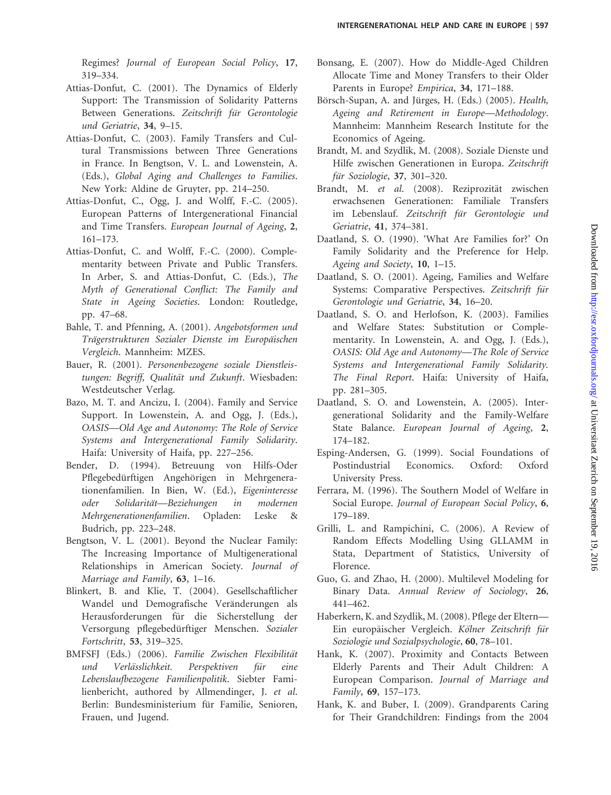Regimes? Journal of European Social Policy, 17, 319–334.

- Attias-Donfut, C. (2001). The Dynamics of Elderly Support: The Transmission of Solidarity Patterns Between Generations. Zeitschrift für Gerontologie und Geriatrie, 34, 9–15.
- Attias-Donfut, C. (2003). Family Transfers and Cultural Transmissions between Three Generations in France. In Bengtson, V. L. and Lowenstein, A. (Eds.), Global Aging and Challenges to Families. New York: Aldine de Gruyter, pp. 214–250.
- Attias-Donfut, C., Ogg, J. and Wolff, F.-C. (2005). European Patterns of Intergenerational Financial and Time Transfers. European Journal of Ageing, 2, 161–173.
- Attias-Donfut, C. and Wolff, F.-C. (2000). Complementarity between Private and Public Transfers. In Arber, S. and Attias-Donfut, C. (Eds.), The Myth of Generational Conflict: The Family and State in Ageing Societies. London: Routledge, pp. 47–68.
- Bahle, T. and Pfenning, A. (2001). Angebotsformen und Trägerstrukturen Sozialer Dienste im Europäischen Vergleich. Mannheim: MZES.
- Bauer, R. (2001). Personenbezogene soziale Dienstleistungen: Begriff, Qualität und Zukunft. Wiesbaden: Westdeutscher Verlag.
- Bazo, M. T. and Ancizu, I. (2004). Family and Service Support. In Lowenstein, A. and Ogg, J. (Eds.), OASIS—Old Age and Autonomy: The Role of Service Systems and Intergenerational Family Solidarity. Haifa: University of Haifa, pp. 227–256.
- Bender, D. (1994). Betreuung von Hilfs-Oder Pflegebedürftigen Angehörigen in Mehrgenerationenfamilien. In Bien, W. (Ed.), Eigeninteresse oder Solidarität—Beziehungen in modernen Mehrgenerationenfamilien. Opladen: Leske & Budrich, pp. 223–248.
- Bengtson, V. L. (2001). Beyond the Nuclear Family: The Increasing Importance of Multigenerational Relationships in American Society. Journal of Marriage and Family, 63, 1–16.
- Blinkert, B. and Klie, T. (2004). Gesellschaftlicher Wandel und Demografische Veränderungen als Herausforderungen für die Sicherstellung der Versorgung pflegebedürftiger Menschen. Sozialer Fortschritt, 53, 319–325.
- BMFSFJ (Eds.) (2006). Familie Zwischen Flexibilität und Verlässlichkeit. Perspektiven für eine Lebenslaufbezogene Familienpolitik. Siebter Familienbericht, authored by Allmendinger, J. et al. Berlin: Bundesministerium für Familie, Senioren, Frauen, und Jugend.
- Bonsang, E. (2007). How do Middle-Aged Children Allocate Time and Money Transfers to their Older Parents in Europe? Empirica, 34, 171–188.
- Börsch-Supan, A. and Jürges, H. (Eds.) (2005). Health, Ageing and Retirement in Europe—Methodology. Mannheim: Mannheim Research Institute for the Economics of Ageing.
- Brandt, M. and Szydlik, M. (2008). Soziale Dienste und Hilfe zwischen Generationen in Europa. Zeitschrift für Soziologie, 37, 301-320.
- Brandt, M. et al. (2008). Reziprozität zwischen erwachsenen Generationen: Familiale Transfers im Lebenslauf. Zeitschrift für Gerontologie und Geriatrie, 41, 374–381.
- Daatland, S. O. (1990). 'What Are Families for?' On Family Solidarity and the Preference for Help. Ageing and Society, 10, 1–15.
- Daatland, S. O. (2001). Ageing, Families and Welfare Systems: Comparative Perspectives. Zeitschrift für Gerontologie und Geriatrie, 34, 16–20.
- Daatland, S. O. and Herlofson, K. (2003). Families and Welfare States: Substitution or Complementarity. In Lowenstein, A. and Ogg, J. (Eds.), OASIS: Old Age and Autonomy—The Role of Service Systems and Intergenerational Family Solidarity. The Final Report. Haifa: University of Haifa, pp. 281–305.
- Daatland, S. O. and Lowenstein, A. (2005). Intergenerational Solidarity and the Family-Welfare State Balance. European Journal of Ageing, 2, 174–182.
- Esping-Andersen, G. (1999). Social Foundations of Postindustrial Economics. Oxford: Oxford University Press.
- Ferrara, M. (1996). The Southern Model of Welfare in Social Europe. Journal of European Social Policy, 6, 179–189.
- Grilli, L. and Rampichini, C. (2006). A Review of Random Effects Modelling Using GLLAMM in Stata, Department of Statistics, University of Florence.
- Guo, G. and Zhao, H. (2000). Multilevel Modeling for Binary Data. Annual Review of Sociology, 26, 441–462.
- Haberkern, K. and Szydlik, M. (2008). Pflege der Eltern— Ein europäischer Vergleich. Kölner Zeitschrift für Soziologie und Sozialpsychologie, 60, 78–101.
- Hank, K. (2007). Proximity and Contacts Between Elderly Parents and Their Adult Children: A European Comparison. Journal of Marriage and Family, 69, 157–173.
- Hank, K. and Buber, I. (2009). Grandparents Caring for Their Grandchildren: Findings from the 2004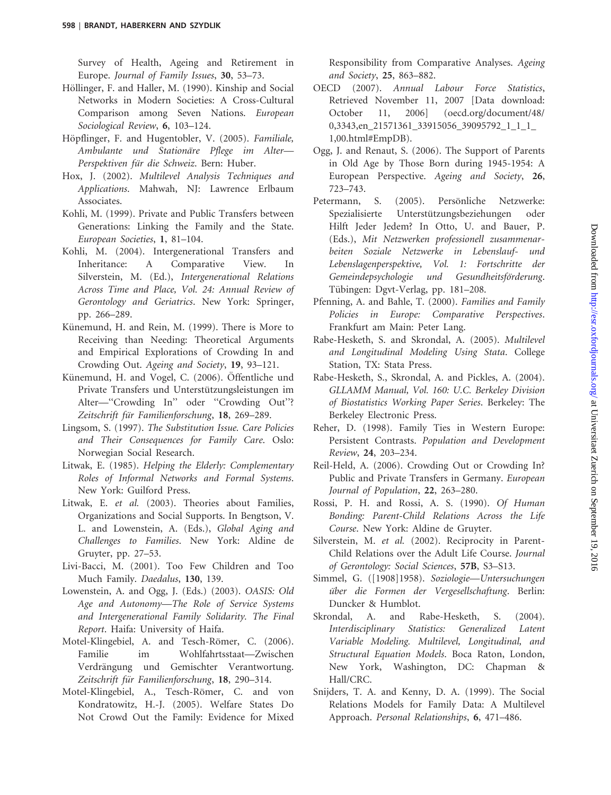Survey of Health, Ageing and Retirement in Europe. Journal of Family Issues, 30, 53–73.

- Höllinger, F. and Haller, M. (1990). Kinship and Social Networks in Modern Societies: A Cross-Cultural Comparison among Seven Nations. European Sociological Review, 6, 103–124.
- Höpflinger, F. and Hugentobler, V. (2005). Familiale, Ambulante und Stationäre Pflege im Alter— Perspektiven für die Schweiz. Bern: Huber.
- Hox, J. (2002). Multilevel Analysis Techniques and Applications. Mahwah, NJ: Lawrence Erlbaum Associates.
- Kohli, M. (1999). Private and Public Transfers between Generations: Linking the Family and the State. European Societies, 1, 81–104.
- Kohli, M. (2004). Intergenerational Transfers and Inheritance: A Comparative View. In Silverstein, M. (Ed.), Intergenerational Relations Across Time and Place, Vol. 24: Annual Review of Gerontology and Geriatrics. New York: Springer, pp. 266–289.
- Künemund, H. and Rein, M. (1999). There is More to Receiving than Needing: Theoretical Arguments and Empirical Explorations of Crowding In and Crowding Out. Ageing and Society, 19, 93–121.
- Künemund, H. and Vogel, C. (2006). Öffentliche und Private Transfers und Unterstützungsleistungen im Alter—"Crowding In" oder "Crowding Out"? Zeitschrift für Familienforschung, 18, 269–289.
- Lingsom, S. (1997). The Substitution Issue. Care Policies and Their Consequences for Family Care. Oslo: Norwegian Social Research.
- Litwak, E. (1985). Helping the Elderly: Complementary Roles of Informal Networks and Formal Systems. New York: Guilford Press.
- Litwak, E. et al. (2003). Theories about Families, Organizations and Social Supports. In Bengtson, V. L. and Lowenstein, A. (Eds.), Global Aging and Challenges to Families. New York: Aldine de Gruyter, pp. 27–53.
- Livi-Bacci, M. (2001). Too Few Children and Too Much Family. Daedalus, 130, 139.
- Lowenstein, A. and Ogg, J. (Eds.) (2003). OASIS: Old Age and Autonomy—The Role of Service Systems and Intergenerational Family Solidarity. The Final Report. Haifa: University of Haifa.
- Motel-Klingebiel, A. and Tesch-Römer, C. (2006). Familie im Wohlfahrtsstaat—Zwischen Verdrängung und Gemischter Verantwortung. Zeitschrift für Familienforschung, 18, 290–314.
- Motel-Klingebiel, A., Tesch-Römer, C. and von Kondratowitz, H.-J. (2005). Welfare States Do Not Crowd Out the Family: Evidence for Mixed

Responsibility from Comparative Analyses. Ageing and Society, 25, 863–882.

- OECD (2007). Annual Labour Force Statistics, Retrieved November 11, 2007 [Data download: October 11, 2006] (oecd.org/document/48/ 0,3343,en\_21571361\_33915056\_39095792\_1\_1\_1\_ 1,00.html#EmpDB).
- Ogg, J. and Renaut, S. (2006). The Support of Parents in Old Age by Those Born during 1945-1954: A European Perspective. Ageing and Society, 26, 723–743.
- Petermann, S. (2005). Persönliche Netzwerke: Spezialisierte Unterstützungsbeziehungen oder Hilft Jeder Jedem? In Otto, U. and Bauer, P. (Eds.), Mit Netzwerken professionell zusammenarbeiten Soziale Netzwerke in Lebenslauf- und Lebenslagenperspektive, Vol. 1: Fortschritte der Gemeindepsychologie und Gesundheitsförderung. Tübingen: Dgvt-Verlag, pp. 181-208.
- Pfenning, A. and Bahle, T. (2000). Families and Family Policies in Europe: Comparative Perspectives. Frankfurt am Main: Peter Lang.
- Rabe-Hesketh, S. and Skrondal, A. (2005). Multilevel and Longitudinal Modeling Using Stata. College Station, TX: Stata Press.
- Rabe-Hesketh, S., Skrondal, A. and Pickles, A. (2004). GLLAMM Manual, Vol. 160: U.C. Berkeley Division of Biostatistics Working Paper Series. Berkeley: The Berkeley Electronic Press.
- Reher, D. (1998). Family Ties in Western Europe: Persistent Contrasts. Population and Development Review, 24, 203–234.
- Reil-Held, A. (2006). Crowding Out or Crowding In? Public and Private Transfers in Germany. European Journal of Population, 22, 263–280.
- Rossi, P. H. and Rossi, A. S. (1990). Of Human Bonding: Parent-Child Relations Across the Life Course. New York: Aldine de Gruyter.
- Silverstein, M. et al. (2002). Reciprocity in Parent-Child Relations over the Adult Life Course. Journal of Gerontology: Social Sciences, 57B, S3–S13.
- Simmel, G. ([1908]1958). Soziologie—Untersuchungen über die Formen der Vergesellschaftung. Berlin: Duncker & Humblot.
- Skrondal, A. and Rabe-Hesketh, S. (2004). Interdisciplinary Statistics: Generalized Latent Variable Modeling. Multilevel, Longitudinal, and Structural Equation Models. Boca Raton, London, New York, Washington, DC: Chapman & Hall/CRC.
- Snijders, T. A. and Kenny, D. A. (1999). The Social Relations Models for Family Data: A Multilevel Approach. Personal Relationships, 6, 471–486.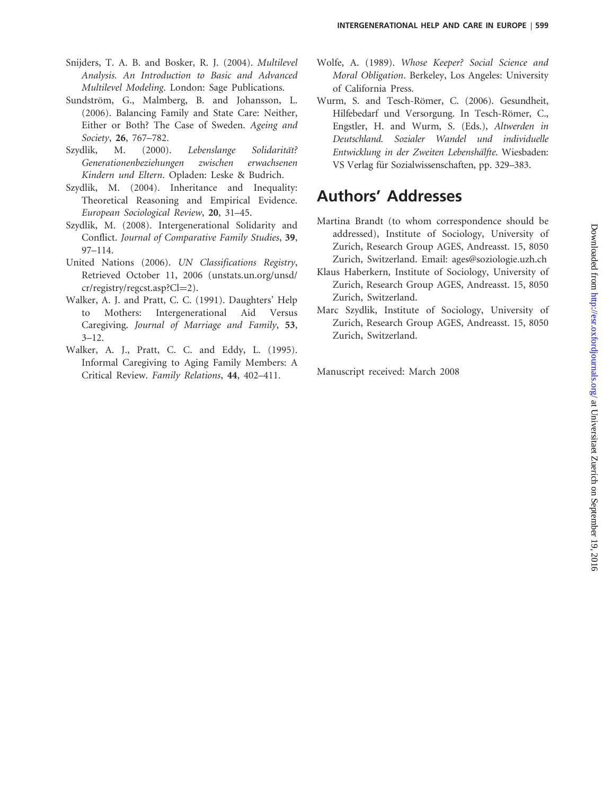- Snijders, T. A. B. and Bosker, R. J. (2004). Multilevel Analysis. An Introduction to Basic and Advanced Multilevel Modeling. London: Sage Publications.
- Sundström, G., Malmberg, B. and Johansson, L. (2006). Balancing Family and State Care: Neither, Either or Both? The Case of Sweden. Ageing and Society, 26, 767–782.
- Szydlik, M. (2000). Lebenslange Solidarität? Generationenbeziehungen zwischen erwachsenen Kindern und Eltern. Opladen: Leske & Budrich.
- Szydlik, M. (2004). Inheritance and Inequality: Theoretical Reasoning and Empirical Evidence. European Sociological Review, 20, 31–45.
- Szydlik, M. (2008). Intergenerational Solidarity and Conflict. Journal of Comparative Family Studies, 39, 97–114.
- United Nations (2006). UN Classifications Registry, Retrieved October 11, 2006 (unstats.un.org/unsd/ cr/registry/regcst.asp?Cl=2).
- Walker, A. J. and Pratt, C. C. (1991). Daughters' Help to Mothers: Intergenerational Aid Versus Caregiving. Journal of Marriage and Family, 53,  $3 - 12$ .
- Walker, A. J., Pratt, C. C. and Eddy, L. (1995). Informal Caregiving to Aging Family Members: A Critical Review. Family Relations, 44, 402–411.
- Wolfe, A. (1989). Whose Keeper? Social Science and Moral Obligation. Berkeley, Los Angeles: University of California Press.
- Wurm, S. and Tesch-Römer, C. (2006). Gesundheit, Hilfebedarf und Versorgung. In Tesch-Römer, C., Engstler, H. and Wurm, S. (Eds.), Altwerden in Deutschland. Sozialer Wandel und individuelle Entwicklung in der Zweiten Lebenshälfte. Wiesbaden: VS Verlag für Sozialwissenschaften, pp. 329–383.

### Authors' Addresses

- Martina Brandt (to whom correspondence should be addressed), Institute of Sociology, University of Zurich, Research Group AGES, Andreasst. 15, 8050 Zurich, Switzerland. Email: ages@soziologie.uzh.ch
- Klaus Haberkern, Institute of Sociology, University of Zurich, Research Group AGES, Andreasst. 15, 8050 Zurich, Switzerland.
- Marc Szydlik, Institute of Sociology, University of Zurich, Research Group AGES, Andreasst. 15, 8050 Zurich, Switzerland.

Manuscript received: March 2008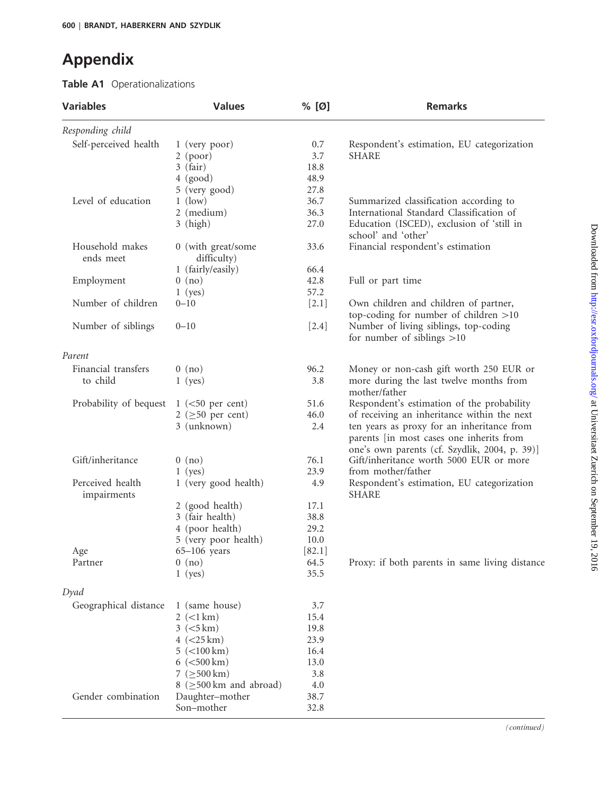## Appendix

Table A1 Operationalizations

| <b>Variables</b>                | <b>Values</b>                     | % [Ø]   | <b>Remarks</b>                                                                           |
|---------------------------------|-----------------------------------|---------|------------------------------------------------------------------------------------------|
| Responding child                |                                   |         |                                                                                          |
| Self-perceived health           | 1 (very poor)                     | 0.7     | Respondent's estimation, EU categorization                                               |
|                                 | 2 (poor)                          | 3.7     | SHARE                                                                                    |
|                                 | $3 \text{ (fair)}$                | 18.8    |                                                                                          |
|                                 | $4 \pmod{ }$                      | 48.9    |                                                                                          |
|                                 | 5 (very good)                     | 27.8    |                                                                                          |
| Level of education              | $1$ (low)                         | 36.7    | Summarized classification according to                                                   |
|                                 | 2 (medium)                        | 36.3    | International Standard Classification of                                                 |
|                                 | $3$ (high)                        | 27.0    | Education (ISCED), exclusion of 'still in<br>school' and 'other'                         |
| Household makes<br>ends meet    | 0 (with great/some<br>difficulty) | 33.6    | Financial respondent's estimation                                                        |
|                                 | 1 (fairly/easily)                 | 66.4    |                                                                                          |
| Employment                      | $0$ (no)                          | 42.8    | Full or part time                                                                        |
|                                 | $1$ (yes)                         | 57.2    |                                                                                          |
| Number of children              | $0 - 10$                          | $[2.1]$ | Own children and children of partner,<br>top-coding for number of children >10           |
| Number of siblings              | $0 - 10$                          | $[2.4]$ | Number of living siblings, top-coding<br>for number of siblings $>10$                    |
| Parent                          |                                   |         |                                                                                          |
| Financial transfers             | $0$ (no)                          | 96.2    | Money or non-cash gift worth 250 EUR or                                                  |
| to child                        | $1$ (yes)                         | 3.8     | more during the last twelve months from<br>mother/father                                 |
| Probability of bequest          | $1$ ( $<$ 50 per cent)            | 51.6    | Respondent's estimation of the probability                                               |
|                                 | $2$ ( $\geq$ 50 per cent)         | 46.0    | of receiving an inheritance within the next                                              |
|                                 | 3 (unknown)                       | 2.4     | ten years as proxy for an inheritance from<br>parents [in most cases one inherits from   |
| Gift/inheritance                | $0$ (no)                          | 76.1    | one's own parents (cf. Szydlik, 2004, p. 39)]<br>Gift/inheritance worth 5000 EUR or more |
|                                 | $1$ (yes)                         | 23.9    | from mother/father                                                                       |
| Perceived health<br>impairments | 1 (very good health)              | 4.9     | Respondent's estimation, EU categorization<br><b>SHARE</b>                               |
|                                 | 2 (good health)                   | 17.1    |                                                                                          |
|                                 | 3 (fair health)                   | 38.8    |                                                                                          |
|                                 | 4 (poor health)                   | 29.2    |                                                                                          |
|                                 | 5 (very poor health)              | 10.0    |                                                                                          |
| Age                             | $65-106$ years                    | [82.1]  |                                                                                          |
| Partner                         | $0$ (no)                          | 64.5    | Proxy: if both parents in same living distance                                           |
|                                 | $1$ (yes)                         | 35.5    |                                                                                          |
| Dyad                            |                                   |         |                                                                                          |
| Geographical distance           | 1 (same house)                    | 3.7     |                                                                                          |
|                                 | $2$ (<1 km)                       | 15.4    |                                                                                          |
|                                 | $3 (-5 km)$                       | 19.8    |                                                                                          |
|                                 | $4$ ( $<$ 25 km)                  | 23.9    |                                                                                          |
|                                 | $5$ (<100 km)                     | 16.4    |                                                                                          |
|                                 | $6$ ( $<$ 500 km)                 | 13.0    |                                                                                          |
|                                 | $7$ ( $>500$ km)                  | 3.8     |                                                                                          |
|                                 | 8 ( $\geq$ 500 km and abroad)     | 4.0     |                                                                                          |
| Gender combination              | Daughter-mother                   | 38.7    |                                                                                          |
|                                 | Son-mother                        | 32.8    |                                                                                          |